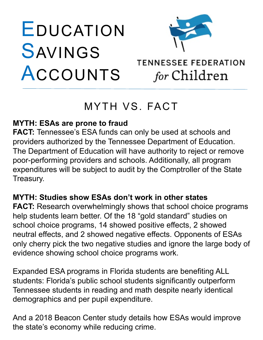# EDUCATION SAVINGS ACCOUNTS



# **TENNESSEE FEDERATION** for Children

# MYTH VS. FACT

### **MYTH: ESAs are prone to fraud**

**FACT:** Tennessee's ESA funds can only be used at schools and providers authorized by the Tennessee Department of Education. The Department of Education will have authority to reject or remove poor-performing providers and schools. Additionally, all program expenditures will be subject to audit by the Comptroller of the State Treasury.

### **MYTH: Studies show ESAs don't work in other states**

**FACT:** Research overwhelmingly shows that school choice programs help students learn better. Of the 18 "gold standard" studies on school choice programs, 14 showed positive effects, 2 showed neutral effects, and 2 showed negative effects. Opponents of ESAs only cherry pick the two negative studies and ignore the large body of evidence showing school choice programs work.

Expanded ESA programs in Florida students are benefiting ALL students: Florida's public school students significantly outperform Tennessee students in reading and math despite nearly identical demographics and per pupil expenditure.

And a 2018 Beacon Center study details how ESAs would improve the state's economy while reducing crime.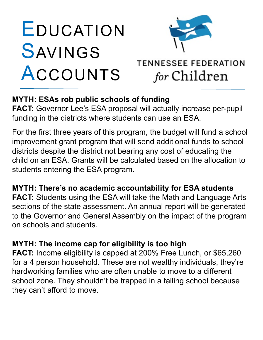# EDUCATION SAVINGS ACCOUNTS



# **TENNESSEE FEDERATION** for Children

## **MYTH: ESAs rob public schools of funding**

**FACT:** Governor Lee's ESA proposal will actually increase per-pupil funding in the districts where students can use an ESA.

For the first three years of this program, the budget will fund a school improvement grant program that will send additional funds to school districts despite the district not bearing any cost of educating the child on an ESA. Grants will be calculated based on the allocation to students entering the ESA program.

## **MYTH: There's no academic accountability for ESA students**

**FACT:** Students using the ESA will take the Math and Language Arts sections of the state assessment. An annual report will be generated to the Governor and General Assembly on the impact of the program on schools and students.

### **MYTH: The income cap for eligibility is too high**

**FACT:** Income eligibility is capped at 200% Free Lunch, or \$65,260 for a 4 person household. These are not wealthy individuals, they're hardworking families who are often unable to move to a different school zone. They shouldn't be trapped in a failing school because they can't afford to move.